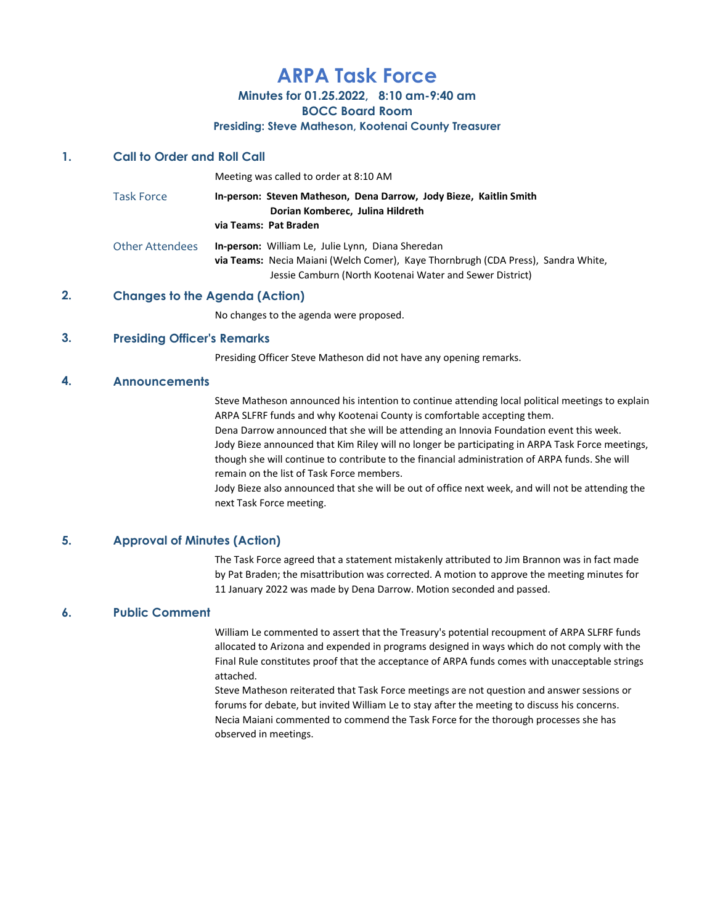# ARPA Task Force

# Minutes for 01.25.2022, 8:10 am-9:40 am

BOCC Board Room

#### Presiding: Steve Matheson, Kootenai County Treasurer

### 1. Call to Order and Roll Call

|                   | Meeting was called to order at 8:10 AM                                                                                                                                                                    |
|-------------------|-----------------------------------------------------------------------------------------------------------------------------------------------------------------------------------------------------------|
| <b>Task Force</b> | In-person: Steven Matheson, Dena Darrow, Jody Bieze, Kaitlin Smith<br>Dorian Komberec, Julina Hildreth<br>via Teams: Pat Braden                                                                           |
| Other Attendees   | <b>In-person:</b> William Le, Julie Lynn, Diana Sheredan<br>via Teams: Necia Maiani (Welch Comer), Kaye Thornbrugh (CDA Press), Sandra White,<br>Jessie Camburn (North Kootenai Water and Sewer District) |

## 2. Changes to the Agenda (Action)

No changes to the agenda were proposed.

### 3. Presiding Officer's Remarks

Presiding Officer Steve Matheson did not have any opening remarks.

### 4. Announcements

Steve Matheson announced his intention to continue attending local political meetings to explain ARPA SLFRF funds and why Kootenai County is comfortable accepting them. Dena Darrow announced that she will be attending an Innovia Foundation event this week.

Jody Bieze announced that Kim Riley will no longer be participating in ARPA Task Force meetings, though she will continue to contribute to the financial administration of ARPA funds. She will remain on the list of Task Force members.

Jody Bieze also announced that she will be out of office next week, and will not be attending the next Task Force meeting.

# 5. Approval of Minutes (Action)

The Task Force agreed that a statement mistakenly attributed to Jim Brannon was in fact made by Pat Braden; the misattribution was corrected. A motion to approve the meeting minutes for 11 January 2022 was made by Dena Darrow. Motion seconded and passed.

# 6. Public Comment

William Le commented to assert that the Treasury's potential recoupment of ARPA SLFRF funds allocated to Arizona and expended in programs designed in ways which do not comply with the Final Rule constitutes proof that the acceptance of ARPA funds comes with unacceptable strings attached.

Steve Matheson reiterated that Task Force meetings are not question and answer sessions or forums for debate, but invited William Le to stay after the meeting to discuss his concerns. Necia Maiani commented to commend the Task Force for the thorough processes she has observed in meetings.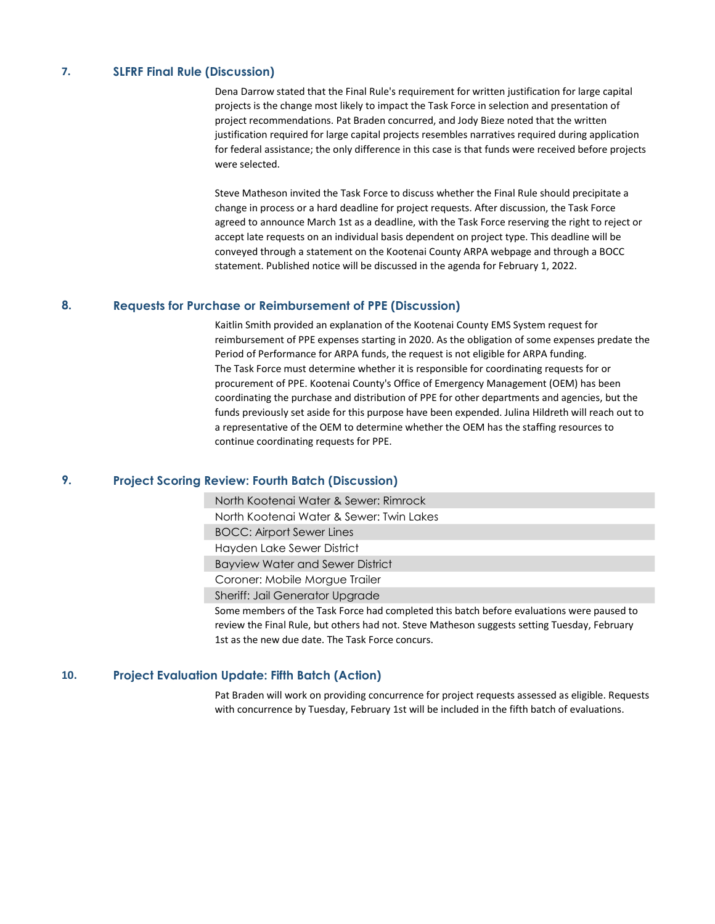#### 7. SLFRF Final Rule (Discussion)

Dena Darrow stated that the Final Rule's requirement for written justification for large capital projects is the change most likely to impact the Task Force in selection and presentation of project recommendations. Pat Braden concurred, and Jody Bieze noted that the written justification required for large capital projects resembles narratives required during application for federal assistance; the only difference in this case is that funds were received before projects were selected.

Steve Matheson invited the Task Force to discuss whether the Final Rule should precipitate a change in process or a hard deadline for project requests. After discussion, the Task Force agreed to announce March 1st as a deadline, with the Task Force reserving the right to reject or accept late requests on an individual basis dependent on project type. This deadline will be conveyed through a statement on the Kootenai County ARPA webpage and through a BOCC statement. Published notice will be discussed in the agenda for February 1, 2022.

#### 8. Requests for Purchase or Reimbursement of PPE (Discussion)

Kaitlin Smith provided an explanation of the Kootenai County EMS System request for reimbursement of PPE expenses starting in 2020. As the obligation of some expenses predate the Period of Performance for ARPA funds, the request is not eligible for ARPA funding. The Task Force must determine whether it is responsible for coordinating requests for or procurement of PPE. Kootenai County's Office of Emergency Management (OEM) has been coordinating the purchase and distribution of PPE for other departments and agencies, but the funds previously set aside for this purpose have been expended. Julina Hildreth will reach out to a representative of the OEM to determine whether the OEM has the staffing resources to continue coordinating requests for PPE.

#### 9. Project Scoring Review: Fourth Batch (Discussion)

North Kootenai Water & Sewer: Rimrock

North Kootenai Water & Sewer: Twin Lakes

BOCC: Airport Sewer Lines

Hayden Lake Sewer District

Bayview Water and Sewer District

Coroner: Mobile Morgue Trailer

Sheriff: Jail Generator Upgrade

Some members of the Task Force had completed this batch before evaluations were paused to review the Final Rule, but others had not. Steve Matheson suggests setting Tuesday, February 1st as the new due date. The Task Force concurs.

#### 10. Project Evaluation Update: Fifth Batch (Action)

Pat Braden will work on providing concurrence for project requests assessed as eligible. Requests with concurrence by Tuesday, February 1st will be included in the fifth batch of evaluations.